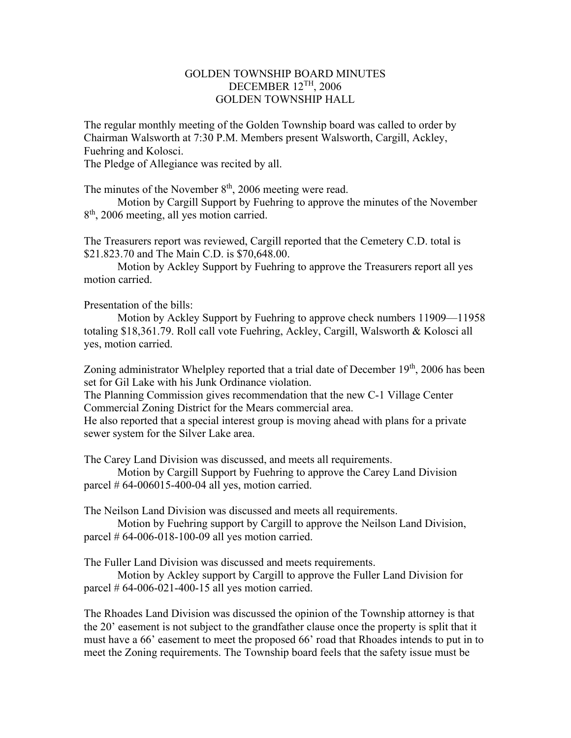## GOLDEN TOWNSHIP BOARD MINUTES DECEMBER 12TH, 2006 GOLDEN TOWNSHIP HALL

The regular monthly meeting of the Golden Township board was called to order by Chairman Walsworth at 7:30 P.M. Members present Walsworth, Cargill, Ackley, Fuehring and Kolosci.

The Pledge of Allegiance was recited by all.

The minutes of the November  $8<sup>th</sup>$ , 2006 meeting were read.

 Motion by Cargill Support by Fuehring to approve the minutes of the November 8<sup>th</sup>, 2006 meeting, all yes motion carried.

The Treasurers report was reviewed, Cargill reported that the Cemetery C.D. total is \$21.823.70 and The Main C.D. is \$70,648.00.

 Motion by Ackley Support by Fuehring to approve the Treasurers report all yes motion carried.

Presentation of the bills:

 Motion by Ackley Support by Fuehring to approve check numbers 11909—11958 totaling \$18,361.79. Roll call vote Fuehring, Ackley, Cargill, Walsworth & Kolosci all yes, motion carried.

Zoning administrator Whelpley reported that a trial date of December  $19<sup>th</sup>$ , 2006 has been set for Gil Lake with his Junk Ordinance violation.

The Planning Commission gives recommendation that the new C-1 Village Center Commercial Zoning District for the Mears commercial area.

He also reported that a special interest group is moving ahead with plans for a private sewer system for the Silver Lake area.

The Carey Land Division was discussed, and meets all requirements.

 Motion by Cargill Support by Fuehring to approve the Carey Land Division parcel  $# 64-006015-400-04$  all yes, motion carried.

The Neilson Land Division was discussed and meets all requirements.

 Motion by Fuehring support by Cargill to approve the Neilson Land Division, parcel # 64-006-018-100-09 all yes motion carried.

The Fuller Land Division was discussed and meets requirements.

 Motion by Ackley support by Cargill to approve the Fuller Land Division for parcel  $# 64-006-021-400-15$  all yes motion carried.

The Rhoades Land Division was discussed the opinion of the Township attorney is that the 20' easement is not subject to the grandfather clause once the property is split that it must have a 66' easement to meet the proposed 66' road that Rhoades intends to put in to meet the Zoning requirements. The Township board feels that the safety issue must be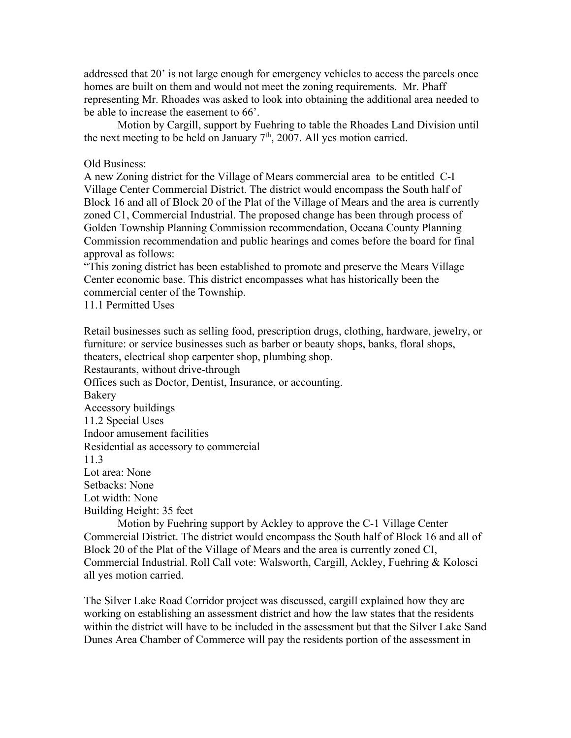addressed that 20' is not large enough for emergency vehicles to access the parcels once homes are built on them and would not meet the zoning requirements. Mr. Phaff representing Mr. Rhoades was asked to look into obtaining the additional area needed to be able to increase the easement to 66'.

 Motion by Cargill, support by Fuehring to table the Rhoades Land Division until the next meeting to be held on January  $7<sup>th</sup>$ , 2007. All yes motion carried.

Old Business:

A new Zoning district for the Village of Mears commercial area to be entitled C-I Village Center Commercial District. The district would encompass the South half of Block 16 and all of Block 20 of the Plat of the Village of Mears and the area is currently zoned C1, Commercial Industrial. The proposed change has been through process of Golden Township Planning Commission recommendation, Oceana County Planning Commission recommendation and public hearings and comes before the board for final approval as follows:

"This zoning district has been established to promote and preserve the Mears Village Center economic base. This district encompasses what has historically been the commercial center of the Township.

11.1 Permitted Uses

Retail businesses such as selling food, prescription drugs, clothing, hardware, jewelry, or furniture: or service businesses such as barber or beauty shops, banks, floral shops, theaters, electrical shop carpenter shop, plumbing shop. Restaurants, without drive-through Offices such as Doctor, Dentist, Insurance, or accounting. Bakery Accessory buildings 11.2 Special Uses Indoor amusement facilities Residential as accessory to commercial 11.3 Lot area: None Setbacks: None Lot width: None Building Height: 35 feet

 Motion by Fuehring support by Ackley to approve the C-1 Village Center Commercial District. The district would encompass the South half of Block 16 and all of Block 20 of the Plat of the Village of Mears and the area is currently zoned CI, Commercial Industrial. Roll Call vote: Walsworth, Cargill, Ackley, Fuehring & Kolosci all yes motion carried.

The Silver Lake Road Corridor project was discussed, cargill explained how they are working on establishing an assessment district and how the law states that the residents within the district will have to be included in the assessment but that the Silver Lake Sand Dunes Area Chamber of Commerce will pay the residents portion of the assessment in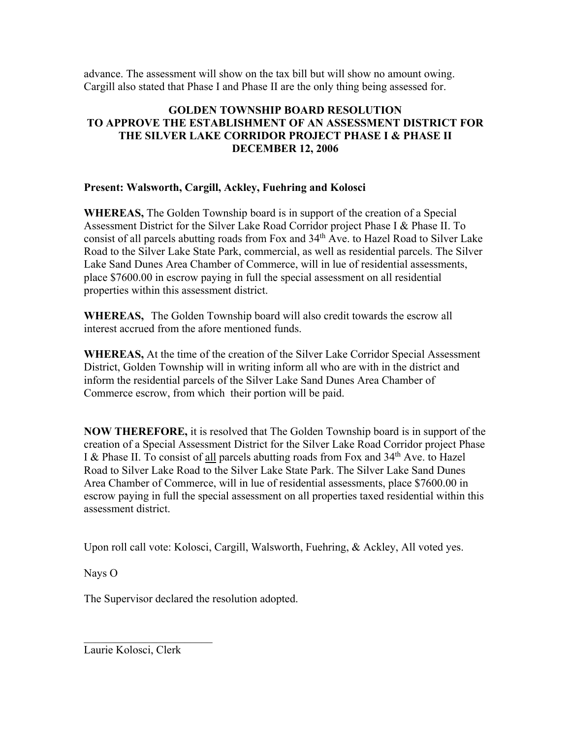advance. The assessment will show on the tax bill but will show no amount owing. Cargill also stated that Phase I and Phase II are the only thing being assessed for.

## **GOLDEN TOWNSHIP BOARD RESOLUTION TO APPROVE THE ESTABLISHMENT OF AN ASSESSMENT DISTRICT FOR THE SILVER LAKE CORRIDOR PROJECT PHASE I & PHASE II DECEMBER 12, 2006**

## **Present: Walsworth, Cargill, Ackley, Fuehring and Kolosci**

**WHEREAS,** The Golden Township board is in support of the creation of a Special Assessment District for the Silver Lake Road Corridor project Phase I & Phase II. To consist of all parcels abutting roads from Fox and  $34<sup>th</sup>$  Ave. to Hazel Road to Silver Lake Road to the Silver Lake State Park, commercial, as well as residential parcels. The Silver Lake Sand Dunes Area Chamber of Commerce, will in lue of residential assessments, place \$7600.00 in escrow paying in full the special assessment on all residential properties within this assessment district.

**WHEREAS,** The Golden Township board will also credit towards the escrow all interest accrued from the afore mentioned funds.

**WHEREAS,** At the time of the creation of the Silver Lake Corridor Special Assessment District, Golden Township will in writing inform all who are with in the district and inform the residential parcels of the Silver Lake Sand Dunes Area Chamber of Commerce escrow, from which their portion will be paid.

**NOW THEREFORE,** it is resolved that The Golden Township board is in support of the creation of a Special Assessment District for the Silver Lake Road Corridor project Phase I & Phase II. To consist of all parcels abutting roads from Fox and 34<sup>th</sup> Ave. to Hazel Road to Silver Lake Road to the Silver Lake State Park. The Silver Lake Sand Dunes Area Chamber of Commerce, will in lue of residential assessments, place \$7600.00 in escrow paying in full the special assessment on all properties taxed residential within this assessment district.

Upon roll call vote: Kolosci, Cargill, Walsworth, Fuehring, & Ackley, All voted yes.

Nays O

The Supervisor declared the resolution adopted.

Laurie Kolosci, Clerk